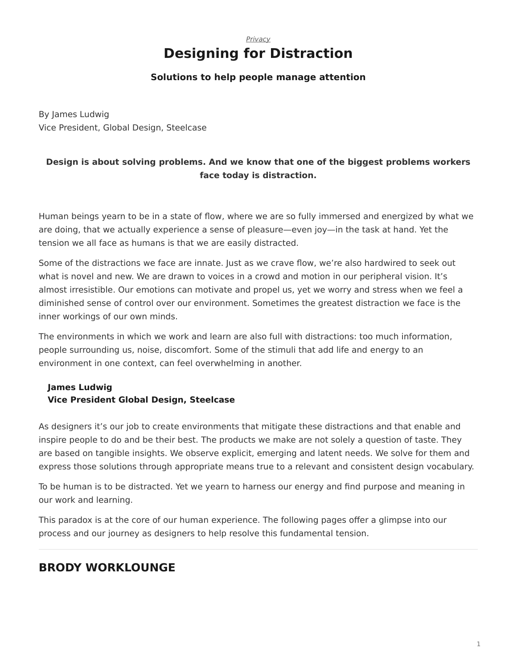## *[Privacy](https://www.steelcase.com/research/topics/privacy/)* **Designing for Distraction**

## **Solutions to help people manage attention**

<span id="page-0-0"></span>By James Ludwig Vice President, Global Design, Steelcase

## **Design is about solving problems. And we know that one of the biggest problems workers face today is distraction.**

Human beings yearn to be in a state of flow, where we are so fully immersed and energized by what we are doing, that we actually experience a sense of pleasure—even joy—in the task at hand. Yet the tension we all face as humans is that we are easily distracted.

Some of the distractions we face are innate. Just as we crave flow, we're also hardwired to seek out what is novel and new. We are drawn to voices in a crowd and motion in our peripheral vision. It's almost irresistible. Our emotions can motivate and propel us, yet we worry and stress when we feel a diminished sense of control over our environment. Sometimes the greatest distraction we face is the inner workings of our own minds.

The environments in which we work and learn are also full with distractions: too much information, people surrounding us, noise, discomfort. Some of the stimuli that add life and energy to an environment in one context, can feel overwhelming in another.

## **James Ludwig Vice President Global Design, Steelcase**

As designers it's our job to create environments that mitigate these distractions and that enable and inspire people to do and be their best. The products we make are not solely a question of taste. They are based on tangible insights. We observe explicit, emerging and latent needs. We solve for them and express those solutions through appropriate means true to a relevant and consistent design vocabulary.

To be human is to be distracted. Yet we yearn to harness our energy and find purpose and meaning in our work and learning.

This paradox is at the core of our human experience. The following pages offer a glimpse into our process and our journey as designers to help resolve this fundamental tension.

# **[BRODY WORKLOUNGE](https://www.steelcase.com/products/lounge-seating/brody/?utm_source=Steelcase.com&utm_medium=ContentLink&utm_campaign=HBR)**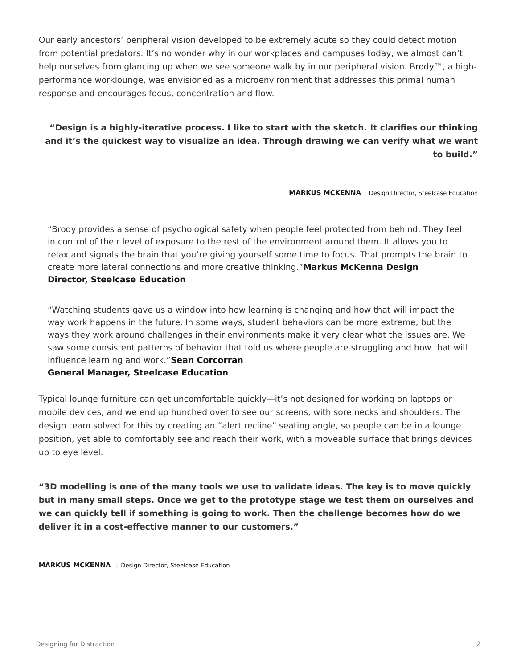Our early ancestors' peripheral vision developed to be extremely acute so they could detect motion from potential predators. It's no wonder why in our workplaces and campuses today, we almost can't help ourselves from glancing up when we see someone walk by in our peripheral vision. [Brody](https://www.steelcase.com/products/lounge-seating/brody/?utm_source=Steelcase.com&utm_medium=ContentLink&utm_campaign=HBR)™, a highperformance worklounge, was envisioned as a microenvironment that addresses this primal human response and encourages focus, concentration and flow.

## **"Design is a highly-iterative process. I like to start with the sketch. It clarifies our thinking and it's the quickest way to visualize an idea. Through drawing we can verify what we want to build."**

**MARKUS MCKENNA** | Design Director, Steelcase Education

"Brody provides a sense of psychological safety when people feel protected from behind. They feel in control of their level of exposure to the rest of the environment around them. It allows you to relax and signals the brain that you're giving yourself some time to focus. That prompts the brain to create more lateral connections and more creative thinking."**Markus McKenna Design Director, Steelcase Education**

"Watching students gave us a window into how learning is changing and how that will impact the way work happens in the future. In some ways, student behaviors can be more extreme, but the ways they work around challenges in their environments make it very clear what the issues are. We saw some consistent patterns of behavior that told us where people are struggling and how that will influence learning and work."**Sean Corcorran**

#### **General Manager, Steelcase Education**

Typical lounge furniture can get uncomfortable quickly—it's not designed for working on laptops or mobile devices, and we end up hunched over to see our screens, with sore necks and shoulders. The design team solved for this by creating an "alert recline" seating angle, so people can be in a lounge position, yet able to comfortably see and reach their work, with a moveable surface that brings devices up to eye level.

**"3D modelling is one of the many tools we use to validate ideas. The key is to move quickly but in many small steps. Once we get to the prototype stage we test them on ourselves and we can quickly tell if something is going to work. Then the challenge becomes how do we deliver it in a cost-effective manner to our customers."**

**MARKUS MCKENNA** | Design Director, Steelcase Education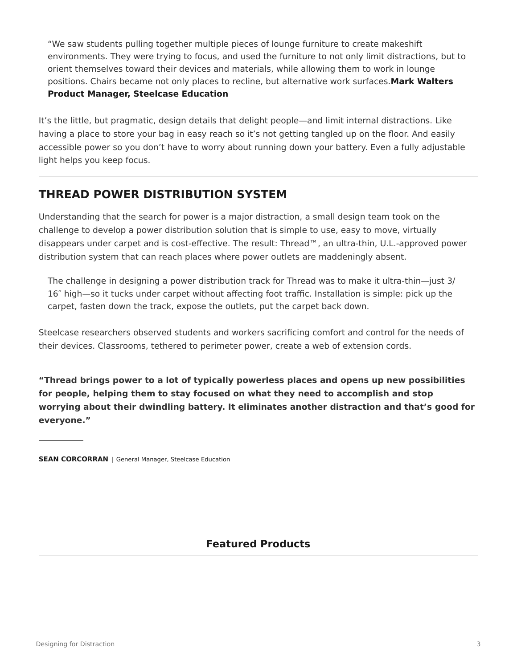"We saw students pulling together multiple pieces of lounge furniture to create makeshift environments. They were trying to focus, and used the furniture to not only limit distractions, but to orient themselves toward their devices and materials, while allowing them to work in lounge positions. Chairs became not only places to recline, but alternative work surfaces.**Mark Walters Product Manager, Steelcase Education**

It's the little, but pragmatic, design details that delight people—and limit internal distractions. Like having a place to store your bag in easy reach so it's not getting tangled up on the floor. And easily accessible power so you don't have to worry about running down your battery. Even a fully adjustable light helps you keep focus.

## **THREAD POWER DISTRIBUTION SYSTEM**

Understanding that the search for power is a major distraction, a small design team took on the challenge to develop a power distribution solution that is simple to use, easy to move, virtually disappears under carpet and is cost-effective. The result: Thread™, an ultra-thin, U.L.-approved power distribution system that can reach places where power outlets are maddeningly absent.

The challenge in designing a power distribution track for Thread was to make it ultra-thin—just 3/ 16″ high—so it tucks under carpet without affecting foot traffic. Installation is simple: pick up the carpet, fasten down the track, expose the outlets, put the carpet back down.

Steelcase researchers observed students and workers sacrificing comfort and control for the needs of their devices. Classrooms, tethered to perimeter power, create a web of extension cords.

**"Thread brings power to a lot of typically powerless places and opens up new possibilities for people, helping them to stay focused on what they need to accomplish and stop worrying about their dwindling battery. It eliminates another distraction and that's good for everyone."**

**SEAN CORCORRAN** | General Manager, Steelcase Education